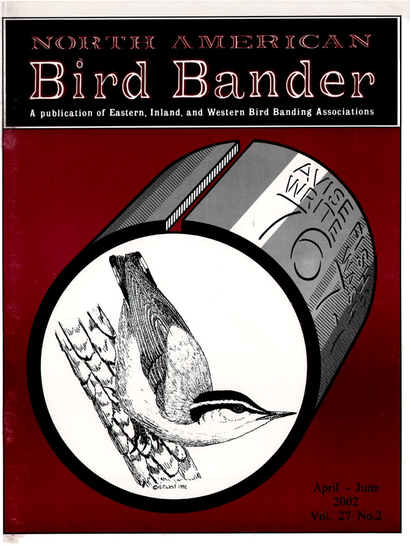## NORTH AWERICAN Bird Bander

**A publication of Eastern, Inland, and Western Bird Banding Associations**